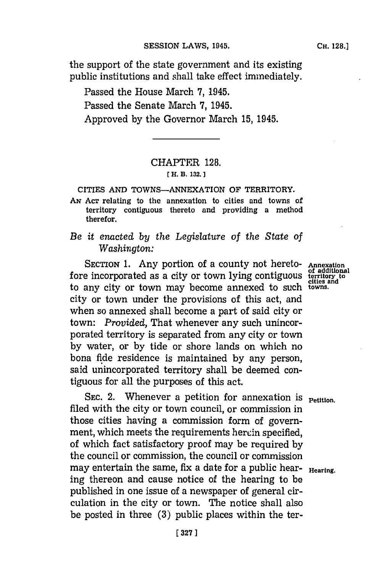the support of the state government and its existing public institutions and shall take effect immediately.

Passed the House March **7,** 1945. Passed the Senate March **7,** 1945. Approved **by** the Governor March **15,** 1945.

### CHAPTER **128.**

#### **[ H. B. 132.]1**

**CITIES AND TOWNS-ANNEXATION OF TERRITORY.**

**AN ACT relating to the annexation to cities and towns of territory contiguous thereto and providing a method therefor.**

## *Be it enacted by the Legislature of the State of Washington:*

**SECTION 1.** Any portion of a county not hereto- Annexation fore incorporated as a city or town lying contiguous **territory to** to any city or town may become annexed to such **towins.** city or town under the provisions of this act, and when so annexed shall become a part of said city or town: *Provided,* That whenever any such unincorporated territory is separated from any city or town **by** water, or **by** tide or shore lands on which no bona fide residence is maintained **by** any person, said unincorporated territory shall be deemed contiguous for all the purposes of this act.

**SEC. 2.** Whenever a petition for annexation is **Petition**. filed with the city or town council, or commission in those cities having a commission form of government, which meets the requirements herein specified, of which fact satisfactory proof may be required **by** the council or commission, the council or commission may entertain the same, fix a date for a public hearing thereon and cause notice of the hearing to be published in one issue of a newspaper of general circulation in the city or town. The notice shall also be posted in three **(3)** public places within the ter-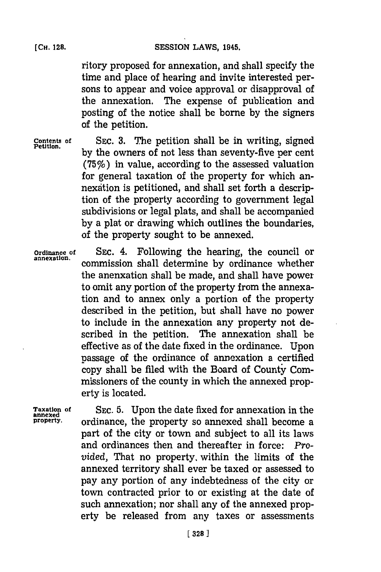ritory proposed for annexation, and shall specify the time and place of hearing and invite interested persons to appear and voice approval or disapproval of the annexation. The expense of publication and posting of the notice shall be borne **by** the signers of the petition.

**Contents of** SEc. **3.** The petition shall be in writing, signed by the owners of not less than seventy-five per cent (75%) in value, according to the assessed valuation for general taxation of the property for which annexdtion is petitioned, and shall set forth a description of the property according to government legal subdivisions or legal plats, and shall be accompanied **by** a plat or drawing which outlines the boundaries, of the property sought to be annexed.

**Ordinance of** SEC. 4. Following the hearing, the council or **annexation,** commission shall determine **by** ordinance whether the anenxation shall be made, and shall have power to omit any portion of the property from the annexation and to annex only a portion of the property described in the petition, but shall have no power to include in the annexation any property not described in the petition. The annexation shall be effective as of the date fixed in the ordinance. Upon passage of the ordinance of annexation a certified copy shall be filed with the Board of County Commissioners of the county in which the annexed property is located.

**Taxation of** SEC. **5.** Upon the date fixed for annexation in the **annexed property,** ordinance, the property so annexed shall become a part of the city or town and subject to all its laws and ordinances then and thereafter in force: *Provided,* That no property, within the limits of the annexed territory shall ever be taxed or assessed to pay any portion of any indebtedness of the city or town contracted prior to or existing at the date of such annexation; nor shall any of the annexed property be released from any taxes or assessments